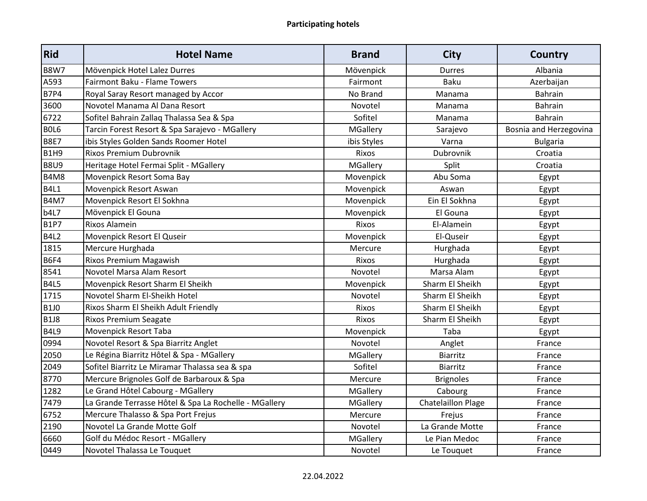| Rid               | <b>Hotel Name</b>                                     | <b>Brand</b>    | <b>City</b>               | <b>Country</b>         |
|-------------------|-------------------------------------------------------|-----------------|---------------------------|------------------------|
| <b>B8W7</b>       | Mövenpick Hotel Lalez Durres                          | Mövenpick       | <b>Durres</b>             | Albania                |
| A593              | Fairmont Baku - Flame Towers                          | Fairmont        | <b>Baku</b>               | Azerbaijan             |
| $\overline{B7P4}$ | Royal Saray Resort managed by Accor                   | No Brand        | Manama                    | Bahrain                |
| 3600              | Novotel Manama Al Dana Resort                         | Novotel         | Manama                    | Bahrain                |
| 6722              | Sofitel Bahrain Zallag Thalassa Sea & Spa             | Sofitel         | Manama                    | Bahrain                |
| BOL6              | Tarcin Forest Resort & Spa Sarajevo - MGallery        | MGallery        | Sarajevo                  | Bosnia and Herzegovina |
| <b>B8E7</b>       | ibis Styles Golden Sands Roomer Hotel                 | ibis Styles     | Varna                     | <b>Bulgaria</b>        |
| B <sub>1H9</sub>  | Rixos Premium Dubrovnik                               | Rixos           | Dubrovnik                 | Croatia                |
| <b>B8U9</b>       | Heritage Hotel Fermai Split - MGallery                | MGallery        | Split                     | Croatia                |
| <b>B4M8</b>       | Movenpick Resort Soma Bay                             | Movenpick       | Abu Soma                  | Egypt                  |
| <b>B4L1</b>       | Movenpick Resort Aswan                                | Movenpick       | Aswan                     | Egypt                  |
| <b>B4M7</b>       | Movenpick Resort El Sokhna                            | Movenpick       | Ein El Sokhna             | Egypt                  |
| b4L7              | Mövenpick El Gouna                                    | Movenpick       | El Gouna                  | Egypt                  |
| <b>B1P7</b>       | Rixos Alamein                                         | Rixos           | El-Alamein                | Egypt                  |
| <b>B4L2</b>       | Movenpick Resort El Quseir                            | Movenpick       | El-Quseir                 | Egypt                  |
| 1815              | Mercure Hurghada                                      | Mercure         | Hurghada                  | Egypt                  |
| <b>B6F4</b>       | Rixos Premium Magawish                                | Rixos           | Hurghada                  | Egypt                  |
| 8541              | Novotel Marsa Alam Resort                             | Novotel         | Marsa Alam                | Egypt                  |
| <b>B4L5</b>       | Movenpick Resort Sharm El Sheikh                      | Movenpick       | Sharm El Sheikh           | Egypt                  |
| 1715              | Novotel Sharm El-Sheikh Hotel                         | Novotel         | Sharm El Sheikh           | Egypt                  |
| <b>B1J0</b>       | Rixos Sharm El Sheikh Adult Friendly                  | Rixos           | Sharm El Sheikh           | Egypt                  |
| <b>B1J8</b>       | <b>Rixos Premium Seagate</b>                          | Rixos           | Sharm El Sheikh           | Egypt                  |
| <b>B4L9</b>       | Movenpick Resort Taba                                 | Movenpick       | Taba                      | Egypt                  |
| 0994              | Novotel Resort & Spa Biarritz Anglet                  | Novotel         | Anglet                    | France                 |
| 2050              | Le Régina Biarritz Hôtel & Spa - MGallery             | MGallery        | Biarritz                  | France                 |
| 2049              | Sofitel Biarritz Le Miramar Thalassa sea & spa        | Sofitel         | Biarritz                  | France                 |
| 8770              | Mercure Brignoles Golf de Barbaroux & Spa             | Mercure         | <b>Brignoles</b>          | France                 |
| 1282              | Le Grand Hôtel Cabourg - MGallery                     | MGallery        | Cabourg                   | France                 |
| 7479              | La Grande Terrasse Hôtel & Spa La Rochelle - MGallery | <b>MGallery</b> | <b>Chatelaillon Plage</b> | France                 |
| 6752              | Mercure Thalasso & Spa Port Frejus                    | Mercure         | Frejus                    | France                 |
| 2190              | Novotel La Grande Motte Golf                          | Novotel         | La Grande Motte           | France                 |
| 6660              | Golf du Médoc Resort - MGallery                       | MGallery        | Le Pian Medoc             | France                 |
| 0449              | Novotel Thalassa Le Touquet                           | Novotel         | Le Touquet                | France                 |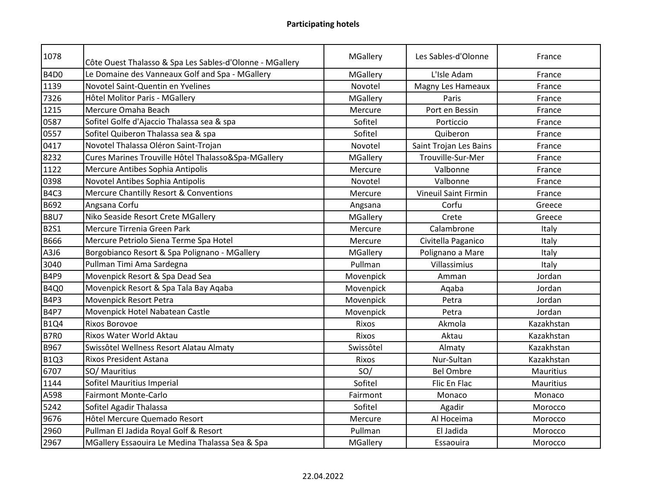| 1078             | Côte Ouest Thalasso & Spa Les Sables-d'Olonne - MGallery | <b>MGallery</b> | Les Sables-d'Olonne         | France     |
|------------------|----------------------------------------------------------|-----------------|-----------------------------|------------|
| B4D <sub>0</sub> | Le Domaine des Vanneaux Golf and Spa - MGallery          | <b>MGallery</b> | L'Isle Adam                 | France     |
| 1139             | Novotel Saint-Quentin en Yvelines                        | Novotel         | Magny Les Hameaux           | France     |
| 7326             | Hôtel Molitor Paris - MGallery                           | MGallery        | Paris                       | France     |
| 1215             | Mercure Omaha Beach                                      | Mercure         | Port en Bessin              | France     |
| 0587             | Sofitel Golfe d'Ajaccio Thalassa sea & spa               | Sofitel         | Porticcio                   | France     |
| 0557             | Sofitel Quiberon Thalassa sea & spa                      | Sofitel         | Quiberon                    | France     |
| 0417             | Novotel Thalassa Oléron Saint-Trojan                     | Novotel         | Saint Trojan Les Bains      | France     |
| 8232             | Cures Marines Trouville Hôtel Thalasso&Spa-MGallery      | MGallery        | Trouville-Sur-Mer           | France     |
| 1122             | Mercure Antibes Sophia Antipolis                         | Mercure         | Valbonne                    | France     |
| 0398             | Novotel Antibes Sophia Antipolis                         | Novotel         | Valbonne                    | France     |
| B4C3             | <b>Mercure Chantilly Resort &amp; Conventions</b>        | Mercure         | <b>Vineuil Saint Firmin</b> | France     |
| B692             | Angsana Corfu                                            | Angsana         | Corfu                       | Greece     |
| <b>B8U7</b>      | Niko Seaside Resort Crete MGallery                       | MGallery        | Crete                       | Greece     |
| <b>B2S1</b>      | Mercure Tirrenia Green Park                              | Mercure         | Calambrone                  | Italy      |
| B666             | Mercure Petriolo Siena Terme Spa Hotel                   | Mercure         | Civitella Paganico          | Italy      |
| A3J6             | Borgobianco Resort & Spa Polignano - MGallery            | MGallery        | Polignano a Mare            | Italy      |
| 3040             | Pullman Timi Ama Sardegna                                | Pullman         | Villassimius                | Italy      |
| <b>B4P9</b>      | Movenpick Resort & Spa Dead Sea                          | Movenpick       | Amman                       | Jordan     |
| <b>B4Q0</b>      | Movenpick Resort & Spa Tala Bay Aqaba                    | Movenpick       | Aqaba                       | Jordan     |
| B4P3             | Movenpick Resort Petra                                   | Movenpick       | Petra                       | Jordan     |
| <b>B4P7</b>      | Movenpick Hotel Nabatean Castle                          | Movenpick       | Petra                       | Jordan     |
| <b>B1Q4</b>      | <b>Rixos Borovoe</b>                                     | Rixos           | Akmola                      | Kazakhstan |
| <b>B7R0</b>      | Rixos Water World Aktau                                  | Rixos           | Aktau                       | Kazakhstan |
| <b>B967</b>      | Swissôtel Wellness Resort Alatau Almaty                  | Swissôtel       | Almaty                      | Kazakhstan |
| <b>B1Q3</b>      | <b>Rixos President Astana</b>                            | Rixos           | Nur-Sultan                  | Kazakhstan |
| 6707             | SO/ Mauritius                                            | SO/             | <b>Bel Ombre</b>            | Mauritius  |
| 1144             | Sofitel Mauritius Imperial                               | Sofitel         | Flic En Flac                | Mauritius  |
| A598             | <b>Fairmont Monte-Carlo</b>                              | Fairmont        | Monaco                      | Monaco     |
| 5242             | Sofitel Agadir Thalassa                                  | Sofitel         | Agadir                      | Morocco    |
| 9676             | Hôtel Mercure Quemado Resort                             | Mercure         | Al Hoceima                  | Morocco    |
| 2960             | Pullman El Jadida Royal Golf & Resort                    | Pullman         | El Jadida                   | Morocco    |
| 2967             | MGallery Essaouira Le Medina Thalassa Sea & Spa          | MGallery        | Essaouira                   | Morocco    |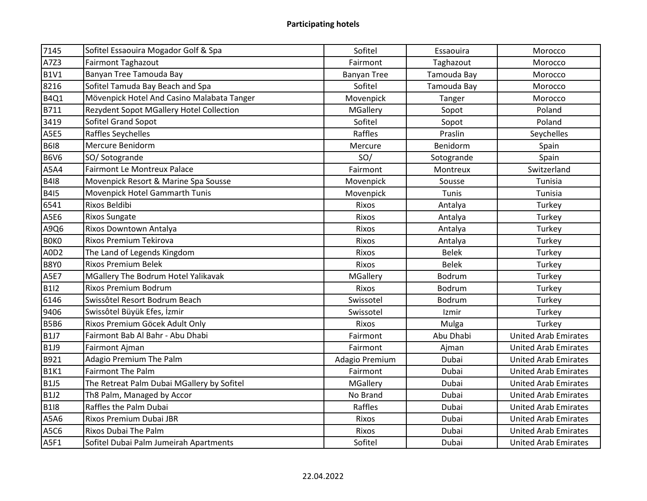| 7145        | Sofitel Essaouira Mogador Golf & Spa       | Sofitel            | Essaouira    | Morocco                     |
|-------------|--------------------------------------------|--------------------|--------------|-----------------------------|
| A7Z3        | <b>Fairmont Taghazout</b>                  | Fairmont           | Taghazout    | Morocco                     |
| <b>B1V1</b> | Banyan Tree Tamouda Bay                    | <b>Banyan Tree</b> | Tamouda Bay  | Morocco                     |
| 8216        | Sofitel Tamuda Bay Beach and Spa           | Sofitel            | Tamouda Bay  | Morocco                     |
| <b>B4Q1</b> | Mövenpick Hotel And Casino Malabata Tanger | Movenpick          | Tanger       | Morocco                     |
| B711        | Rezydent Sopot MGallery Hotel Collection   | <b>MGallery</b>    | Sopot        | Poland                      |
| 3419        | Sofitel Grand Sopot                        | Sofitel            | Sopot        | Poland                      |
| <b>A5E5</b> | Raffles Seychelles                         | Raffles            | Praslin      | Seychelles                  |
| <b>B618</b> | Mercure Benidorm                           | Mercure            | Benidorm     | Spain                       |
| <b>B6V6</b> | SO/Sotogrande                              | SO/                | Sotogrande   | Spain                       |
| A5A4        | Fairmont Le Montreux Palace                | Fairmont           | Montreux     | Switzerland                 |
| <b>B418</b> | Movenpick Resort & Marine Spa Sousse       | Movenpick          | Sousse       | Tunisia                     |
| <b>B415</b> | Movenpick Hotel Gammarth Tunis             | Movenpick          | Tunis        | Tunisia                     |
| 6541        | Rixos Beldibi                              | Rixos              | Antalya      | Turkey                      |
| A5E6        | <b>Rixos Sungate</b>                       | Rixos              | Antalya      | Turkey                      |
| A9Q6        | Rixos Downtown Antalya                     | Rixos              | Antalya      | Turkey                      |
| <b>BOKO</b> | Rixos Premium Tekirova                     | Rixos              | Antalya      | Turkey                      |
| A0D2        | The Land of Legends Kingdom                | Rixos              | <b>Belek</b> | Turkey                      |
| <b>B8Y0</b> | <b>Rixos Premium Belek</b>                 | Rixos              | <b>Belek</b> | Turkey                      |
| <b>A5E7</b> | MGallery The Bodrum Hotel Yalikavak        | MGallery           | Bodrum       | Turkey                      |
| <b>B1I2</b> | Rixos Premium Bodrum                       | Rixos              | Bodrum       | Turkey                      |
| 6146        | Swissôtel Resort Bodrum Beach              | Swissotel          | Bodrum       | Turkey                      |
| 9406        | Swissôtel Büyük Efes, İzmir                | Swissotel          | Izmir        | Turkey                      |
| <b>B5B6</b> | Rixos Premium Göcek Adult Only             | Rixos              | Mulga        | Turkey                      |
| <b>B1J7</b> | Fairmont Bab Al Bahr - Abu Dhabi           | Fairmont           | Abu Dhabi    | <b>United Arab Emirates</b> |
| <b>B1J9</b> | Fairmont Ajman                             | Fairmont           | Ajman        | <b>United Arab Emirates</b> |
| B921        | Adagio Premium The Palm                    | Adagio Premium     | Dubai        | <b>United Arab Emirates</b> |
| <b>B1K1</b> | <b>Fairmont The Palm</b>                   | Fairmont           | Dubai        | <b>United Arab Emirates</b> |
| <b>B1J5</b> | The Retreat Palm Dubai MGallery by Sofitel | <b>MGallery</b>    | Dubai        | <b>United Arab Emirates</b> |
| <b>B1J2</b> | Th8 Palm, Managed by Accor                 | No Brand           | Dubai        | <b>United Arab Emirates</b> |
| <b>B118</b> | Raffles the Palm Dubai                     | Raffles            | Dubai        | <b>United Arab Emirates</b> |
| A5A6        | Rixos Premium Dubai JBR                    | Rixos              | Dubai        | <b>United Arab Emirates</b> |
| A5C6        | <b>Rixos Dubai The Palm</b>                | Rixos              | Dubai        | <b>United Arab Emirates</b> |
| A5F1        | Sofitel Dubai Palm Jumeirah Apartments     | Sofitel            | Dubai        | <b>United Arab Emirates</b> |